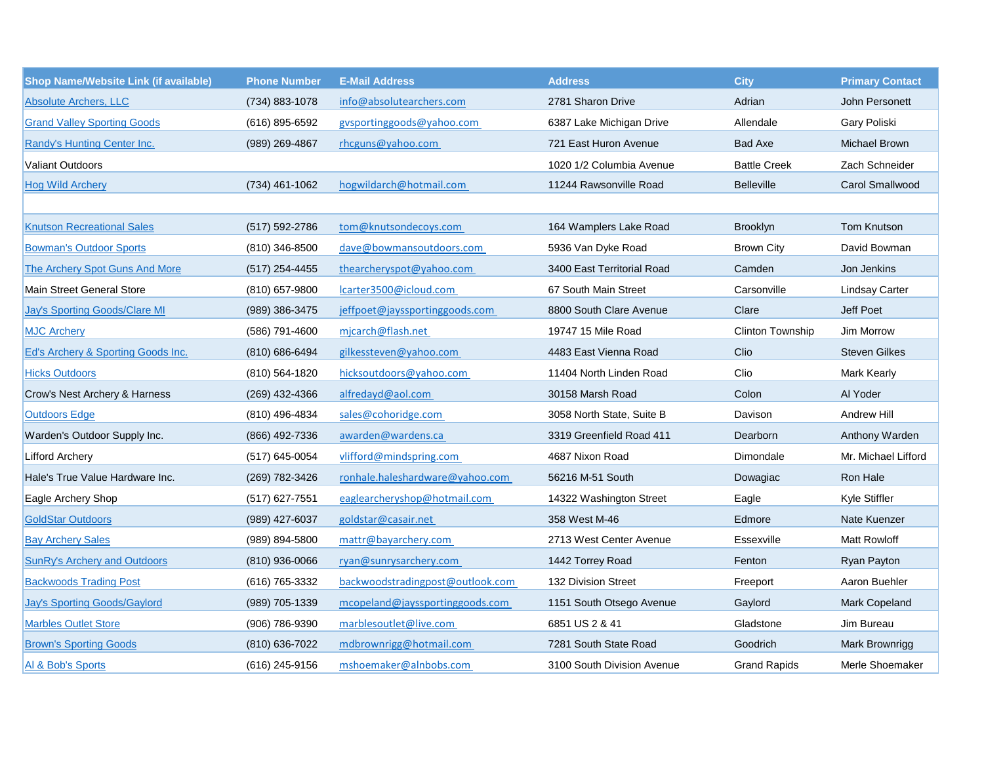| <b>Shop Name/Website Link (if available)</b> | <b>Phone Number</b> | <b>E-Mail Address</b>            | <b>Address</b>             | <b>City</b>             | <b>Primary Contact</b> |
|----------------------------------------------|---------------------|----------------------------------|----------------------------|-------------------------|------------------------|
| <b>Absolute Archers, LLC</b>                 | (734) 883-1078      | info@absolutearchers.com         | 2781 Sharon Drive          | Adrian                  | John Personett         |
| <b>Grand Valley Sporting Goods</b>           | (616) 895-6592      | gysportinggoods@yahoo.com        | 6387 Lake Michigan Drive   | Allendale               | Gary Poliski           |
| Randy's Hunting Center Inc.                  | (989) 269-4867      | rhcguns@yahoo.com                | 721 East Huron Avenue      | <b>Bad Axe</b>          | <b>Michael Brown</b>   |
| <b>Valiant Outdoors</b>                      |                     |                                  | 1020 1/2 Columbia Avenue   | <b>Battle Creek</b>     | Zach Schneider         |
| <b>Hog Wild Archery</b>                      | $(734)$ 461-1062    | hogwildarch@hotmail.com          | 11244 Rawsonville Road     | <b>Belleville</b>       | <b>Carol Smallwood</b> |
|                                              |                     |                                  |                            |                         |                        |
| <b>Knutson Recreational Sales</b>            | (517) 592-2786      | tom@knutsondecoys.com            | 164 Wamplers Lake Road     | Brooklyn                | <b>Tom Knutson</b>     |
| <b>Bowman's Outdoor Sports</b>               | $(810)$ 346-8500    | dave@bowmansoutdoors.com         | 5936 Van Dyke Road         | <b>Brown City</b>       | David Bowman           |
| The Archery Spot Guns And More               | $(517)$ 254-4455    | thearcheryspot@yahoo.com         | 3400 East Territorial Road | Camden                  | Jon Jenkins            |
| Main Street General Store                    | (810) 657-9800      | lcarter3500@icloud.com           | 67 South Main Street       | Carsonville             | <b>Lindsay Carter</b>  |
| <b>Jay's Sporting Goods/Clare MI</b>         | (989) 386-3475      | jeffpoet@jayssportinggoods.com   | 8800 South Clare Avenue    | Clare                   | Jeff Poet              |
| <b>MJC Archery</b>                           | (586) 791-4600      | mjcarch@flash.net                | 19747 15 Mile Road         | <b>Clinton Township</b> | Jim Morrow             |
| Ed's Archery & Sporting Goods Inc.           | (810) 686-6494      | gilkessteven@yahoo.com           | 4483 East Vienna Road      | Clio                    | <b>Steven Gilkes</b>   |
| <b>Hicks Outdoors</b>                        | (810) 564-1820      | hicksoutdoors@yahoo.com          | 11404 North Linden Road    | Clio                    | <b>Mark Kearly</b>     |
| Crow's Nest Archery & Harness                | (269) 432-4366      | alfredayd@aol.com                | 30158 Marsh Road           | Colon                   | Al Yoder               |
| <b>Outdoors Edge</b>                         | (810) 496-4834      | sales@cohoridge.com              | 3058 North State, Suite B  | Davison                 | Andrew Hill            |
| Warden's Outdoor Supply Inc.                 | (866) 492-7336      | awarden@wardens.ca               | 3319 Greenfield Road 411   | Dearborn                | Anthony Warden         |
| <b>Lifford Archery</b>                       | (517) 645-0054      | vlifford@mindspring.com          | 4687 Nixon Road            | Dimondale               | Mr. Michael Lifford    |
| Hale's True Value Hardware Inc.              | (269) 782-3426      | ronhale.haleshardware@yahoo.com  | 56216 M-51 South           | Dowagiac                | Ron Hale               |
| Eagle Archery Shop                           | $(517)$ 627-7551    | eaglearcheryshop@hotmail.com     | 14322 Washington Street    | Eagle                   | Kyle Stiffler          |
| <b>GoldStar Outdoors</b>                     | (989) 427-6037      | goldstar@casair.net              | 358 West M-46              | Edmore                  | Nate Kuenzer           |
| <b>Bay Archery Sales</b>                     | (989) 894-5800      | mattr@bayarchery.com             | 2713 West Center Avenue    | Essexville              | Matt Rowloff           |
| <b>SunRy's Archery and Outdoors</b>          | (810) 936-0066      | ryan@sunrysarchery.com           | 1442 Torrey Road           | Fenton                  | Ryan Payton            |
| <b>Backwoods Trading Post</b>                | (616) 765-3332      | backwoodstradingpost@outlook.com | 132 Division Street        | Freeport                | Aaron Buehler          |
| <b>Jay's Sporting Goods/Gaylord</b>          | (989) 705-1339      | mcopeland@jayssportinggoods.com  | 1151 South Otsego Avenue   | Gaylord                 | Mark Copeland          |
| <b>Marbles Outlet Store</b>                  | (906) 786-9390      | marblesoutlet@live.com           | 6851 US 2 & 41             | Gladstone               | Jim Bureau             |
| <b>Brown's Sporting Goods</b>                | (810) 636-7022      | mdbrownrigg@hotmail.com          | 7281 South State Road      | Goodrich                | Mark Brownrigg         |
| Al & Bob's Sports                            | (616) 245-9156      | mshoemaker@alnbobs.com           | 3100 South Division Avenue | <b>Grand Rapids</b>     | Merle Shoemaker        |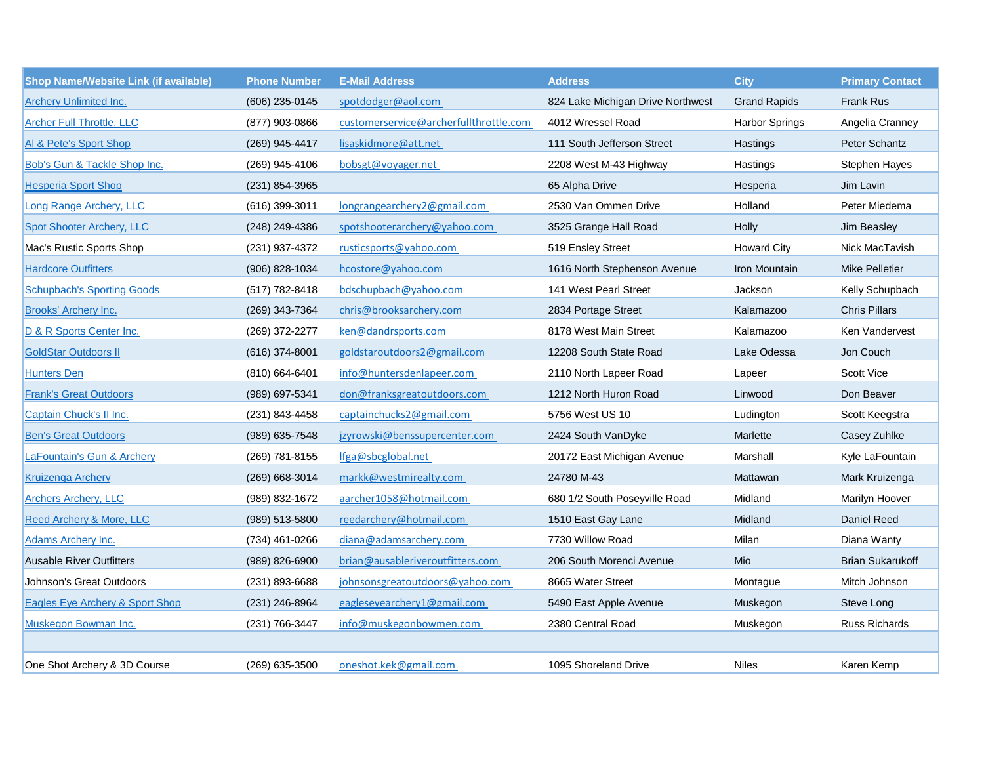| <b>Shop Name/Website Link (if available)</b> | <b>Phone Number</b> | <b>E-Mail Address</b>                  | <b>Address</b>                    | <b>City</b>           | <b>Primary Contact</b>  |
|----------------------------------------------|---------------------|----------------------------------------|-----------------------------------|-----------------------|-------------------------|
| <b>Archery Unlimited Inc.</b>                | (606) 235-0145      | spotdodger@aol.com                     | 824 Lake Michigan Drive Northwest | <b>Grand Rapids</b>   | Frank Rus               |
| <b>Archer Full Throttle, LLC</b>             | (877) 903-0866      | customerservice@archerfullthrottle.com | 4012 Wressel Road                 | <b>Harbor Springs</b> | Angelia Cranney         |
| Al & Pete's Sport Shop                       | (269) 945-4417      | lisaskidmore@att.net                   | 111 South Jefferson Street        | Hastings              | Peter Schantz           |
| Bob's Gun & Tackle Shop Inc.                 | (269) 945-4106      | bobsgt@voyager.net                     | 2208 West M-43 Highway            | Hastings              | Stephen Hayes           |
| <b>Hesperia Sport Shop</b>                   | (231) 854-3965      |                                        | 65 Alpha Drive                    | Hesperia              | Jim Lavin               |
| Long Range Archery, LLC                      | $(616)$ 399-3011    | longrangearchery2@gmail.com            | 2530 Van Ommen Drive              | Holland               | Peter Miedema           |
| <b>Spot Shooter Archery, LLC</b>             | (248) 249-4386      | spotshooterarchery@yahoo.com           | 3525 Grange Hall Road             | Holly                 | Jim Beasley             |
| Mac's Rustic Sports Shop                     | (231) 937-4372      | rusticsports@yahoo.com                 | 519 Ensley Street                 | <b>Howard City</b>    | Nick MacTavish          |
| <b>Hardcore Outfitters</b>                   | (906) 828-1034      | hcostore@yahoo.com                     | 1616 North Stephenson Avenue      | Iron Mountain         | <b>Mike Pelletier</b>   |
| <b>Schupbach's Sporting Goods</b>            | (517) 782-8418      | bdschupbach@yahoo.com                  | 141 West Pearl Street             | Jackson               | Kelly Schupbach         |
| <b>Brooks' Archery Inc.</b>                  | (269) 343-7364      | chris@brooksarchery.com                | 2834 Portage Street               | Kalamazoo             | <b>Chris Pillars</b>    |
| D & R Sports Center Inc.                     | (269) 372-2277      | ken@dandrsports.com                    | 8178 West Main Street             | Kalamazoo             | Ken Vandervest          |
| <b>GoldStar Outdoors II</b>                  | $(616)$ 374-8001    | goldstaroutdoors2@gmail.com            | 12208 South State Road            | Lake Odessa           | Jon Couch               |
| <b>Hunters Den</b>                           | $(810)$ 664-6401    | info@huntersdenlapeer.com              | 2110 North Lapeer Road            | Lapeer                | Scott Vice              |
| <b>Frank's Great Outdoors</b>                | (989) 697-5341      | don@franksgreatoutdoors.com            | 1212 North Huron Road             | Linwood               | Don Beaver              |
| Captain Chuck's II Inc.                      | (231) 843-4458      | captainchucks2@gmail.com               | 5756 West US 10                   | Ludington             | Scott Keegstra          |
| <b>Ben's Great Outdoors</b>                  | (989) 635-7548      | jzyrowski@benssupercenter.com          | 2424 South VanDyke                | Marlette              | Casey Zuhlke            |
| LaFountain's Gun & Archery                   | (269) 781-8155      | lfga@sbcglobal.net                     | 20172 East Michigan Avenue        | Marshall              | Kyle LaFountain         |
| <b>Kruizenga Archery</b>                     | $(269)$ 668-3014    | markk@westmirealty.com                 | 24780 M-43                        | Mattawan              | Mark Kruizenga          |
| <b>Archers Archery, LLC</b>                  | (989) 832-1672      | aarcher1058@hotmail.com                | 680 1/2 South Poseyville Road     | Midland               | Marilyn Hoover          |
| Reed Archery & More, LLC                     | (989) 513-5800      | reedarchery@hotmail.com                | 1510 East Gay Lane                | Midland               | Daniel Reed             |
| <b>Adams Archery Inc.</b>                    | (734) 461-0266      | diana@adamsarchery.com                 | 7730 Willow Road                  | Milan                 | Diana Wanty             |
| <b>Ausable River Outfitters</b>              | (989) 826-6900      | brian@ausableriveroutfitters.com       | 206 South Morenci Avenue          | Mio                   | <b>Brian Sukarukoff</b> |
| Johnson's Great Outdoors                     | (231) 893-6688      | johnsonsgreatoutdoors@yahoo.com        | 8665 Water Street                 | Montague              | Mitch Johnson           |
| <b>Eagles Eye Archery &amp; Sport Shop</b>   | (231) 246-8964      | eagleseyearchery1@gmail.com            | 5490 East Apple Avenue            | Muskegon              | Steve Long              |
| <b>Muskegon Bowman Inc.</b>                  | (231) 766-3447      | info@muskegonbowmen.com                | 2380 Central Road                 | Muskegon              | Russ Richards           |
|                                              |                     |                                        |                                   |                       |                         |
| One Shot Archery & 3D Course                 | (269) 635-3500      | oneshot.kek@gmail.com                  | 1095 Shoreland Drive              | <b>Niles</b>          | Karen Kemp              |